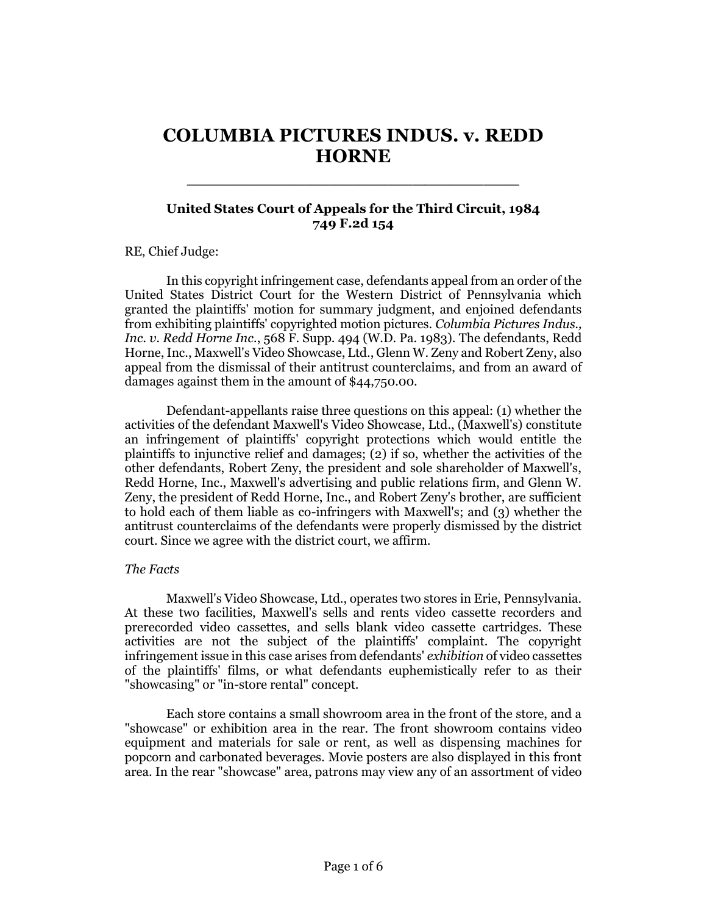# **COLUMBIA PICTURES INDUS. v. REDD HORNE**

\_\_\_\_\_\_\_\_\_\_\_\_\_\_\_\_\_\_\_\_\_\_\_\_\_\_\_\_

## **United States Court of Appeals for the Third Circuit, 1984 749 F.2d 154**

RE, Chief Judge:

In this copyright infringement case, defendants appeal from an order of the United States District Court for the Western District of Pennsylvania which granted the plaintiffs' motion for summary judgment, and enjoined defendants from exhibiting plaintiffs' copyrighted motion pictures. *Columbia Pictures Indus., Inc. v. Redd Horne Inc.*, 568 F. Supp. 494 (W.D. Pa. 1983). The defendants, Redd Horne, Inc., Maxwell's Video Showcase, Ltd., Glenn W. Zeny and Robert Zeny, also appeal from the dismissal of their antitrust counterclaims, and from an award of damages against them in the amount of \$44,750.00.

Defendant-appellants raise three questions on this appeal: (1) whether the activities of the defendant Maxwell's Video Showcase, Ltd., (Maxwell's) constitute an infringement of plaintiffs' copyright protections which would entitle the plaintiffs to injunctive relief and damages; (2) if so, whether the activities of the other defendants, Robert Zeny, the president and sole shareholder of Maxwell's, Redd Horne, Inc., Maxwell's advertising and public relations firm, and Glenn W. Zeny, the president of Redd Horne, Inc., and Robert Zeny's brother, are sufficient to hold each of them liable as co-infringers with Maxwell's; and (3) whether the antitrust counterclaims of the defendants were properly dismissed by the district court. Since we agree with the district court, we affirm.

#### *The Facts*

Maxwell's Video Showcase, Ltd., operates two stores in Erie, Pennsylvania. At these two facilities, Maxwell's sells and rents video cassette recorders and prerecorded video cassettes, and sells blank video cassette cartridges. These activities are not the subject of the plaintiffs' complaint. The copyright infringement issue in this case arises from defendants' *exhibition* of video cassettes of the plaintiffs' films, or what defendants euphemistically refer to as their "showcasing" or "in-store rental" concept.

Each store contains a small showroom area in the front of the store, and a "showcase" or exhibition area in the rear. The front showroom contains video equipment and materials for sale or rent, as well as dispensing machines for popcorn and carbonated beverages. Movie posters are also displayed in this front area. In the rear "showcase" area, patrons may view any of an assortment of video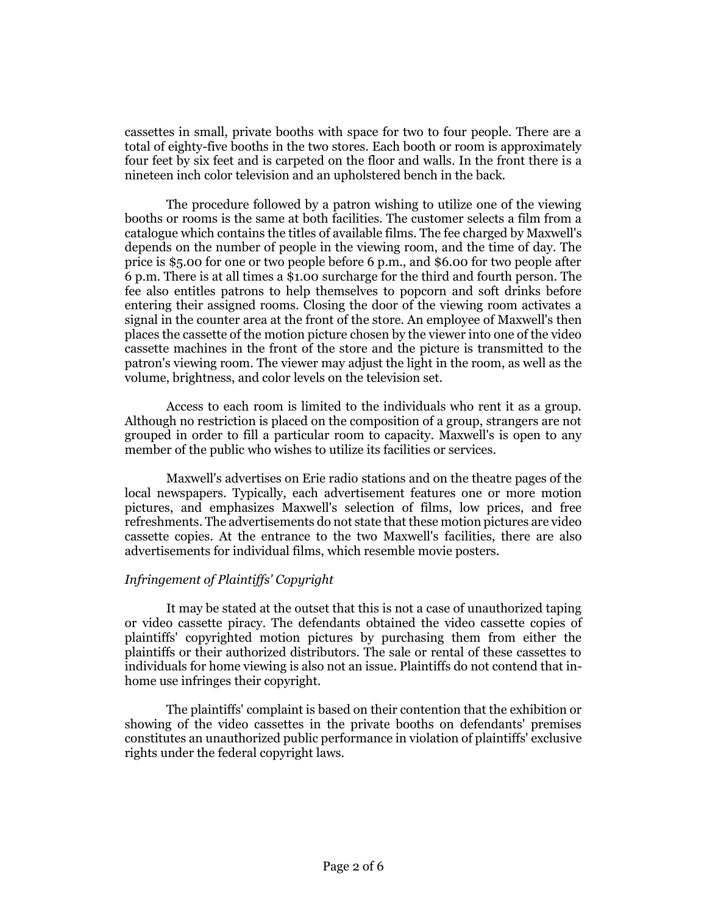cassettes in small, private booths with space for two to four people. There are a total of eighty-five booths in the two stores. Each booth or room is approximately four feet by six feet and is carpeted on the floor and walls. In the front there is a nineteen inch color television and an upholstered bench in the back.

The procedure followed by a patron wishing to utilize one of the viewing booths or rooms is the same at both facilities. The customer selects a film from a catalogue which contains the titles of available films. The fee charged by Maxwell's depends on the number of people in the viewing room, and the time of day. The price is \$5.00 for one or two people before 6 p.m., and \$6.00 for two people after 6 p.m. There is at all times a \$1.00 surcharge for the third and fourth person. The fee also entitles patrons to help themselves to popcorn and soft drinks before entering their assigned rooms. Closing the door of the viewing room activates a signal in the counter area at the front of the store. An employee of Maxwell's then places the cassette of the motion picture chosen by the viewer into one of the video cassette machines in the front of the store and the picture is transmitted to the patron's viewing room. The viewer may adjust the light in the room, as well as the volume, brightness, and color levels on the television set.

Access to each room is limited to the individuals who rent it as a group. Although no restriction is placed on the composition of a group, strangers are not grouped in order to fill a particular room to capacity. Maxwell's is open to any member of the public who wishes to utilize its facilities or services.

Maxwell's advertises on Erie radio stations and on the theatre pages of the local newspapers. Typically, each advertisement features one or more motion pictures, and emphasizes Maxwell's selection of films, low prices, and free refreshments. The advertisements do not state that these motion pictures are video cassette copies. At the entrance to the two Maxwell's facilities, there are also advertisements for individual films, which resemble movie posters.

### *Infringement of Plaintiffs' Copyright*

It may be stated at the outset that this is not a case of unauthorized taping or video cassette piracy. The defendants obtained the video cassette copies of plaintiffs' copyrighted motion pictures by purchasing them from either the plaintiffs or their authorized distributors. The sale or rental of these cassettes to individuals for home viewing is also not an issue. Plaintiffs do not contend that inhome use infringes their copyright.

The plaintiffs' complaint is based on their contention that the exhibition or showing of the video cassettes in the private booths on defendants' premises constitutes an unauthorized public performance in violation of plaintiffs' exclusive rights under the federal copyright laws.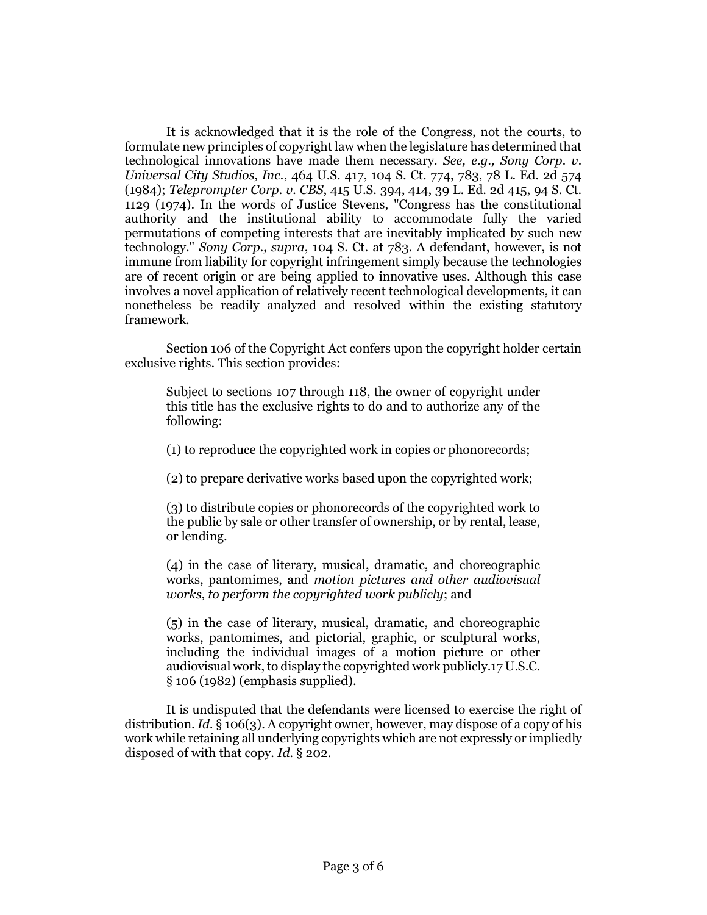It is acknowledged that it is the role of the Congress, not the courts, to formulate new principles of copyright law when the legislature has determined that technological innovations have made them necessary. *See, e.g., Sony Corp. v. Universal City Studios, Inc.*, 464 U.S. 417, 104 S. Ct. 774, 783, 78 L. Ed. 2d 574 (1984); *Teleprompter Corp. v. CBS*, 415 U.S. 394, 414, 39 L. Ed. 2d 415, 94 S. Ct. 1129 (1974). In the words of Justice Stevens, "Congress has the constitutional authority and the institutional ability to accommodate fully the varied permutations of competing interests that are inevitably implicated by such new technology." *Sony Corp., supra*, 104 S. Ct. at 783. A defendant, however, is not immune from liability for copyright infringement simply because the technologies are of recent origin or are being applied to innovative uses. Although this case involves a novel application of relatively recent technological developments, it can nonetheless be readily analyzed and resolved within the existing statutory framework.

Section 106 of the Copyright Act confers upon the copyright holder certain exclusive rights. This section provides:

Subject to sections 107 through 118, the owner of copyright under this title has the exclusive rights to do and to authorize any of the following:

(1) to reproduce the copyrighted work in copies or phonorecords;

(2) to prepare derivative works based upon the copyrighted work;

(3) to distribute copies or phonorecords of the copyrighted work to the public by sale or other transfer of ownership, or by rental, lease, or lending.

(4) in the case of literary, musical, dramatic, and choreographic works, pantomimes, and *motion pictures and other audiovisual works, to perform the copyrighted work publicly*; and

(5) in the case of literary, musical, dramatic, and choreographic works, pantomimes, and pictorial, graphic, or sculptural works, including the individual images of a motion picture or other audiovisual work, to display the copyrighted work publicly.17 U.S.C. § 106 (1982) (emphasis supplied).

It is undisputed that the defendants were licensed to exercise the right of distribution. *Id.* § 106(3). A copyright owner, however, may dispose of a copy of his work while retaining all underlying copyrights which are not expressly or impliedly disposed of with that copy. *Id.* § 202.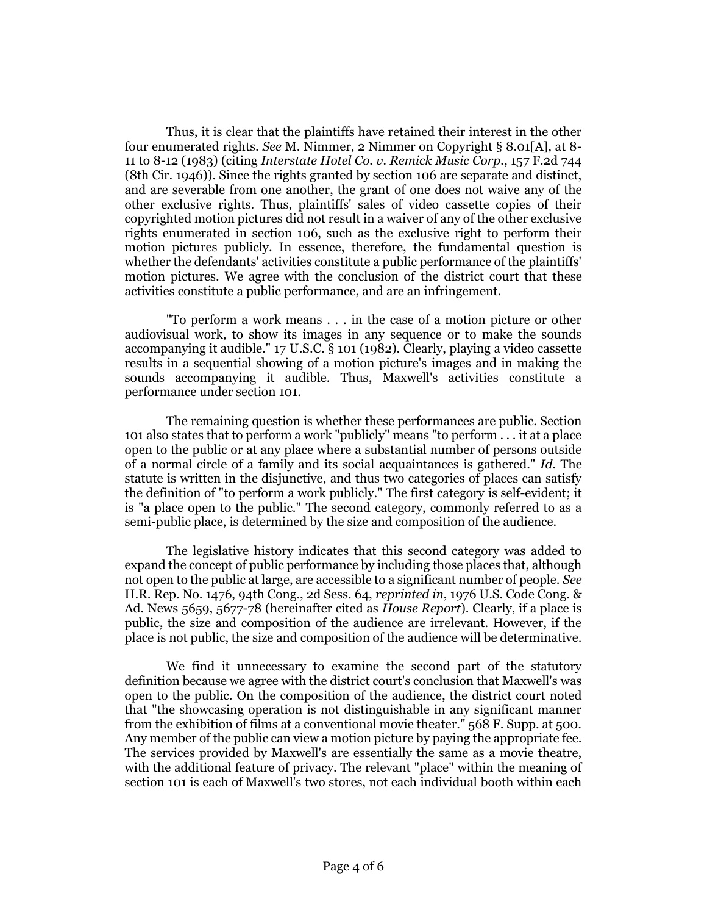Thus, it is clear that the plaintiffs have retained their interest in the other four enumerated rights. *See* M. Nimmer, 2 Nimmer on Copyright § 8.01[A], at 8- 11 to 8-12 (1983) (citing *Interstate Hotel Co. v. Remick Music Corp.*, 157 F.2d 744 (8th Cir. 1946)). Since the rights granted by section 106 are separate and distinct, and are severable from one another, the grant of one does not waive any of the other exclusive rights. Thus, plaintiffs' sales of video cassette copies of their copyrighted motion pictures did not result in a waiver of any of the other exclusive rights enumerated in section 106, such as the exclusive right to perform their motion pictures publicly. In essence, therefore, the fundamental question is whether the defendants' activities constitute a public performance of the plaintiffs' motion pictures. We agree with the conclusion of the district court that these activities constitute a public performance, and are an infringement.

"To perform a work means . . . in the case of a motion picture or other audiovisual work, to show its images in any sequence or to make the sounds accompanying it audible." 17 U.S.C. § 101 (1982). Clearly, playing a video cassette results in a sequential showing of a motion picture's images and in making the sounds accompanying it audible. Thus, Maxwell's activities constitute a performance under section 101.

The remaining question is whether these performances are public. Section 101 also states that to perform a work "publicly" means "to perform . . . it at a place open to the public or at any place where a substantial number of persons outside of a normal circle of a family and its social acquaintances is gathered." *Id.* The statute is written in the disjunctive, and thus two categories of places can satisfy the definition of "to perform a work publicly." The first category is self-evident; it is "a place open to the public." The second category, commonly referred to as a semi-public place, is determined by the size and composition of the audience.

The legislative history indicates that this second category was added to expand the concept of public performance by including those places that, although not open to the public at large, are accessible to a significant number of people. *See* H.R. Rep. No. 1476, 94th Cong., 2d Sess. 64, *reprinted in*, 1976 U.S. Code Cong. & Ad. News 5659, 5677-78 (hereinafter cited as *House Report*). Clearly, if a place is public, the size and composition of the audience are irrelevant. However, if the place is not public, the size and composition of the audience will be determinative.

We find it unnecessary to examine the second part of the statutory definition because we agree with the district court's conclusion that Maxwell's was open to the public. On the composition of the audience, the district court noted that "the showcasing operation is not distinguishable in any significant manner from the exhibition of films at a conventional movie theater." 568 F. Supp. at 500. Any member of the public can view a motion picture by paying the appropriate fee. The services provided by Maxwell's are essentially the same as a movie theatre, with the additional feature of privacy. The relevant "place" within the meaning of section 101 is each of Maxwell's two stores, not each individual booth within each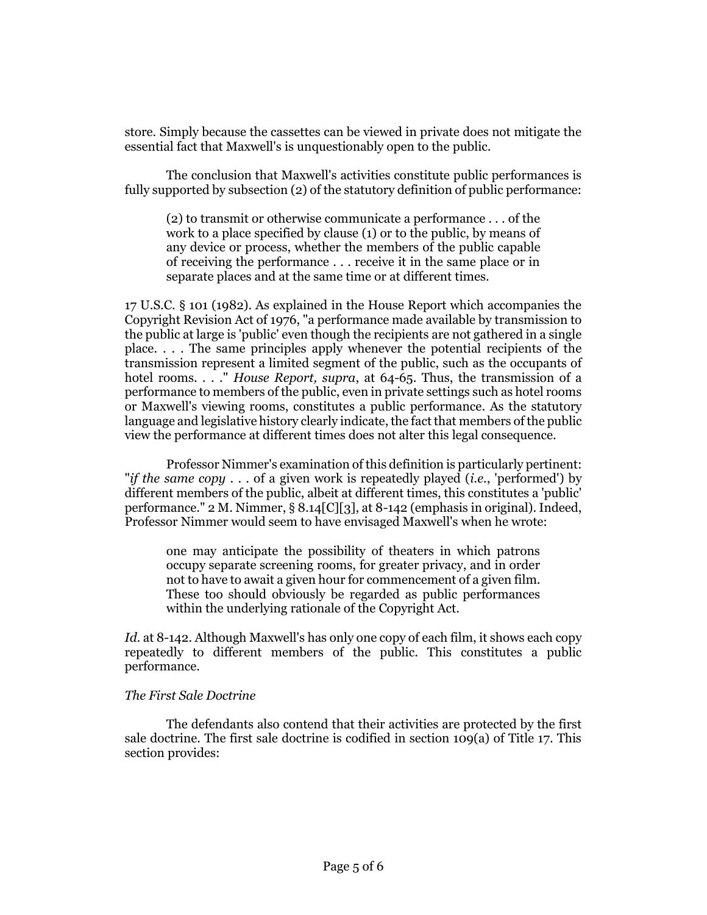store. Simply because the cassettes can be viewed in private does not mitigate the essential fact that Maxwell's is unquestionably open to the public.

The conclusion that Maxwell's activities constitute public performances is fully supported by subsection (2) of the statutory definition of public performance:

(2) to transmit or otherwise communicate a performance . . . of the work to a place specified by clause (1) or to the public, by means of any device or process, whether the members of the public capable of receiving the performance . . . receive it in the same place or in separate places and at the same time or at different times.

17 U.S.C. § 101 (1982). As explained in the House Report which accompanies the Copyright Revision Act of 1976, "a performance made available by transmission to the public at large is 'public' even though the recipients are not gathered in a single place. . . . The same principles apply whenever the potential recipients of the transmission represent a limited segment of the public, such as the occupants of hotel rooms. . . ." *House Report, supra*, at 64-65. Thus, the transmission of a performance to members of the public, even in private settings such as hotel rooms or Maxwell's viewing rooms, constitutes a public performance. As the statutory language and legislative history clearly indicate, the fact that members of the public view the performance at different times does not alter this legal consequence.

Professor Nimmer's examination of this definition is particularly pertinent: "*if the same copy* . . . of a given work is repeatedly played (*i.e.*, 'performed') by different members of the public, albeit at different times, this constitutes a 'public' performance." 2 M. Nimmer, § 8.14[C][3], at 8-142 (emphasis in original). Indeed, Professor Nimmer would seem to have envisaged Maxwell's when he wrote:

one may anticipate the possibility of theaters in which patrons occupy separate screening rooms, for greater privacy, and in order not to have to await a given hour for commencement of a given film. These too should obviously be regarded as public performances within the underlying rationale of the Copyright Act.

*Id.* at 8-142. Although Maxwell's has only one copy of each film, it shows each copy repeatedly to different members of the public. This constitutes a public performance.

#### *The First Sale Doctrine*

The defendants also contend that their activities are protected by the first sale doctrine. The first sale doctrine is codified in section 109(a) of Title 17. This section provides: